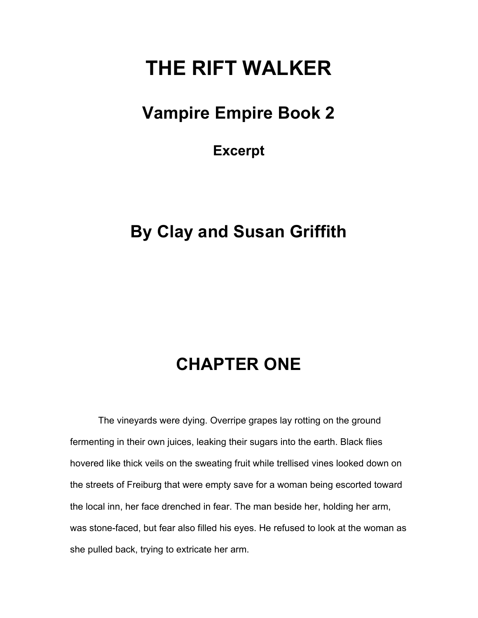# **THE RIFT WALKER**

## **Vampire Empire Book 2**

#### **Excerpt**

### **By Clay and Susan Griffith**

## **CHAPTER ONE**

The vineyards were dying. Overripe grapes lay rotting on the ground fermenting in their own juices, leaking their sugars into the earth. Black flies hovered like thick veils on the sweating fruit while trellised vines looked down on the streets of Freiburg that were empty save for a woman being escorted toward the local inn, her face drenched in fear. The man beside her, holding her arm, was stone-faced, but fear also filled his eyes. He refused to look at the woman as she pulled back, trying to extricate her arm.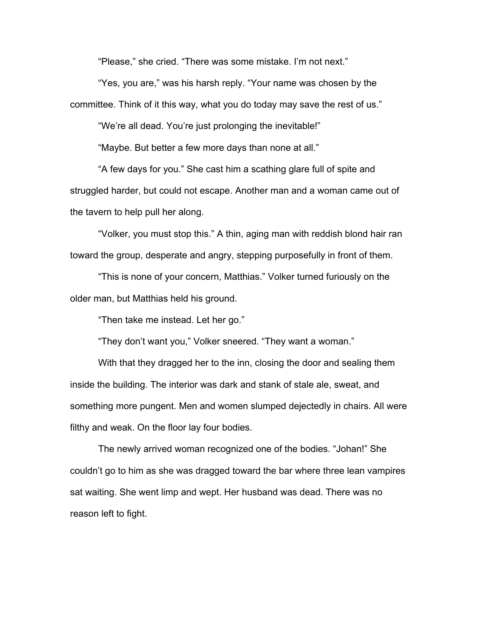"Please," she cried. "There was some mistake. I'm not next."

"Yes, you are," was his harsh reply. "Your name was chosen by the committee. Think of it this way, what you do today may save the rest of us."

"We're all dead. You're just prolonging the inevitable!"

"Maybe. But better a few more days than none at all."

"A few days for you." She cast him a scathing glare full of spite and struggled harder, but could not escape. Another man and a woman came out of the tavern to help pull her along.

"Volker, you must stop this." A thin, aging man with reddish blond hair ran toward the group, desperate and angry, stepping purposefully in front of them.

"This is none of your concern, Matthias." Volker turned furiously on the older man, but Matthias held his ground.

"Then take me instead. Let her go."

"They don't want you," Volker sneered. "They want a woman."

With that they dragged her to the inn, closing the door and sealing them inside the building. The interior was dark and stank of stale ale, sweat, and something more pungent. Men and women slumped dejectedly in chairs. All were filthy and weak. On the floor lay four bodies.

The newly arrived woman recognized one of the bodies. "Johan!" She couldn't go to him as she was dragged toward the bar where three lean vampires sat waiting. She went limp and wept. Her husband was dead. There was no reason left to fight.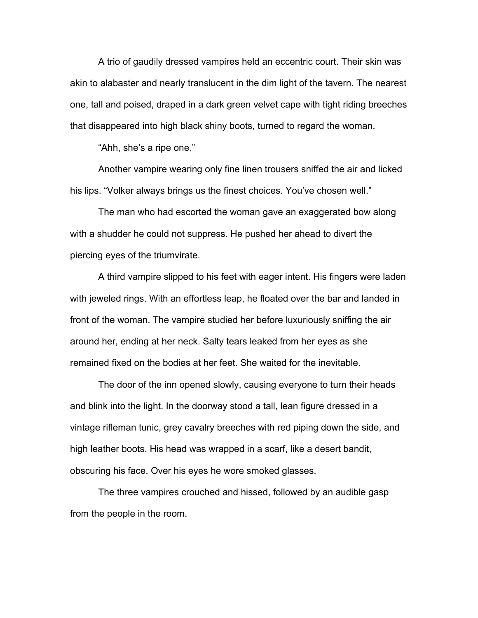A trio of gaudily dressed vampires held an eccentric court. Their skin was akin to alabaster and nearly translucent in the dim light of the tavern. The nearest one, tall and poised, draped in a dark green velvet cape with tight riding breeches that disappeared into high black shiny boots, turned to regard the woman.

"Ahh, she's a ripe one."

Another vampire wearing only fine linen trousers sniffed the air and licked his lips. "Volker always brings us the finest choices. You've chosen well."

The man who had escorted the woman gave an exaggerated bow along with a shudder he could not suppress. He pushed her ahead to divert the piercing eyes of the triumvirate.

A third vampire slipped to his feet with eager intent. His fingers were laden with jeweled rings. With an effortless leap, he floated over the bar and landed in front of the woman. The vampire studied her before luxuriously sniffing the air around her, ending at her neck. Salty tears leaked from her eyes as she remained fixed on the bodies at her feet. She waited for the inevitable.

The door of the inn opened slowly, causing everyone to turn their heads and blink into the light. In the doorway stood a tall, lean figure dressed in a vintage rifleman tunic, grey cavalry breeches with red piping down the side, and high leather boots. His head was wrapped in a scarf, like a desert bandit, obscuring his face. Over his eyes he wore smoked glasses.

The three vampires crouched and hissed, followed by an audible gasp from the people in the room.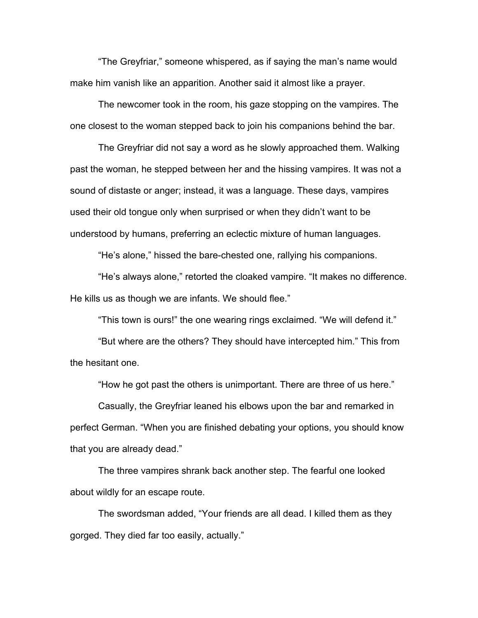"The Greyfriar," someone whispered, as if saying the man's name would make him vanish like an apparition. Another said it almost like a prayer.

The newcomer took in the room, his gaze stopping on the vampires. The one closest to the woman stepped back to join his companions behind the bar.

The Greyfriar did not say a word as he slowly approached them. Walking past the woman, he stepped between her and the hissing vampires. It was not a sound of distaste or anger; instead, it was a language. These days, vampires used their old tongue only when surprised or when they didn't want to be understood by humans, preferring an eclectic mixture of human languages.

"He's alone," hissed the bare-chested one, rallying his companions.

"He's always alone," retorted the cloaked vampire. "It makes no difference. He kills us as though we are infants. We should flee."

"This town is ours!" the one wearing rings exclaimed. "We will defend it."

"But where are the others? They should have intercepted him." This from the hesitant one.

"How he got past the others is unimportant. There are three of us here."

Casually, the Greyfriar leaned his elbows upon the bar and remarked in perfect German. "When you are finished debating your options, you should know that you are already dead."

The three vampires shrank back another step. The fearful one looked about wildly for an escape route.

The swordsman added, "Your friends are all dead. I killed them as they gorged. They died far too easily, actually."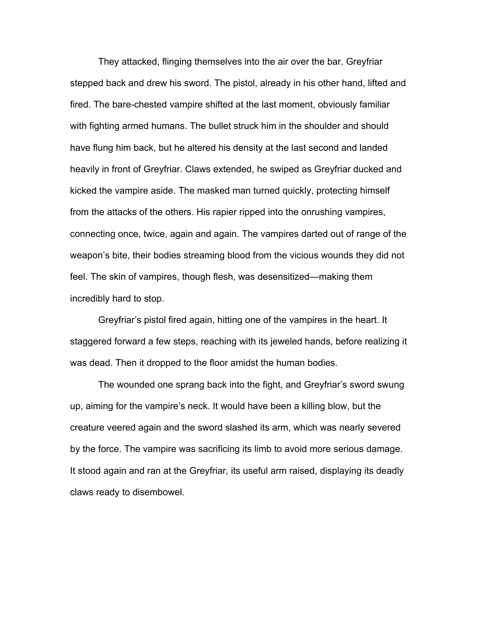They attacked, flinging themselves into the air over the bar. Greyfriar stepped back and drew his sword. The pistol, already in his other hand, lifted and fired. The bare-chested vampire shifted at the last moment, obviously familiar with fighting armed humans. The bullet struck him in the shoulder and should have flung him back, but he altered his density at the last second and landed heavily in front of Greyfriar. Claws extended, he swiped as Greyfriar ducked and kicked the vampire aside. The masked man turned quickly, protecting himself from the attacks of the others. His rapier ripped into the onrushing vampires, connecting once, twice, again and again. The vampires darted out of range of the weapon's bite, their bodies streaming blood from the vicious wounds they did not feel. The skin of vampires, though flesh, was desensitized—making them incredibly hard to stop.

Greyfriar's pistol fired again, hitting one of the vampires in the heart. It staggered forward a few steps, reaching with its jeweled hands, before realizing it was dead. Then it dropped to the floor amidst the human bodies.

The wounded one sprang back into the fight, and Greyfriar's sword swung up, aiming for the vampire's neck. It would have been a killing blow, but the creature veered again and the sword slashed its arm, which was nearly severed by the force. The vampire was sacrificing its limb to avoid more serious damage. It stood again and ran at the Greyfriar, its useful arm raised, displaying its deadly claws ready to disembowel.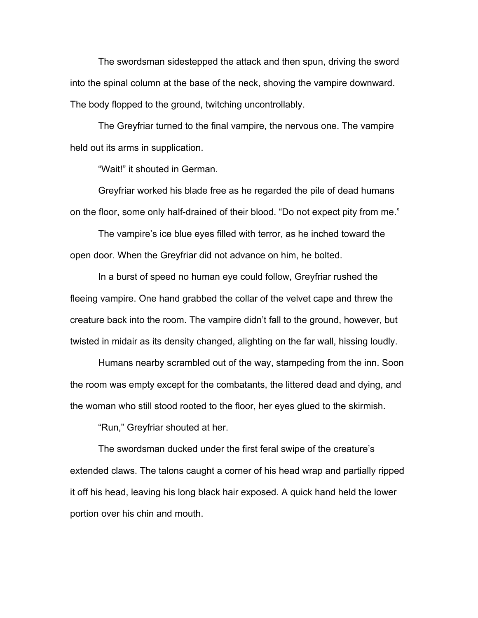The swordsman sidestepped the attack and then spun, driving the sword into the spinal column at the base of the neck, shoving the vampire downward. The body flopped to the ground, twitching uncontrollably.

The Greyfriar turned to the final vampire, the nervous one. The vampire held out its arms in supplication.

"Wait!" it shouted in German.

Greyfriar worked his blade free as he regarded the pile of dead humans on the floor, some only half-drained of their blood. "Do not expect pity from me."

The vampire's ice blue eyes filled with terror, as he inched toward the open door. When the Greyfriar did not advance on him, he bolted.

In a burst of speed no human eye could follow, Greyfriar rushed the fleeing vampire. One hand grabbed the collar of the velvet cape and threw the creature back into the room. The vampire didn't fall to the ground, however, but twisted in midair as its density changed, alighting on the far wall, hissing loudly.

Humans nearby scrambled out of the way, stampeding from the inn. Soon the room was empty except for the combatants, the littered dead and dying, and the woman who still stood rooted to the floor, her eyes glued to the skirmish.

"Run," Greyfriar shouted at her.

The swordsman ducked under the first feral swipe of the creature's extended claws. The talons caught a corner of his head wrap and partially ripped it off his head, leaving his long black hair exposed. A quick hand held the lower portion over his chin and mouth.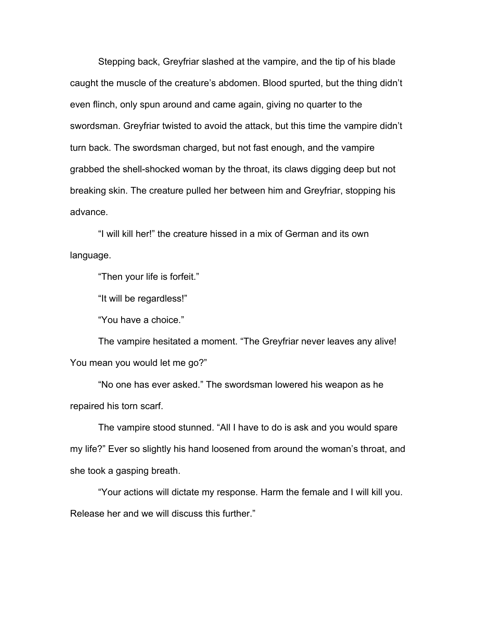Stepping back, Greyfriar slashed at the vampire, and the tip of his blade caught the muscle of the creature's abdomen. Blood spurted, but the thing didn't even flinch, only spun around and came again, giving no quarter to the swordsman. Greyfriar twisted to avoid the attack, but this time the vampire didn't turn back. The swordsman charged, but not fast enough, and the vampire grabbed the shell-shocked woman by the throat, its claws digging deep but not breaking skin. The creature pulled her between him and Greyfriar, stopping his advance.

"I will kill her!" the creature hissed in a mix of German and its own language.

"Then your life is forfeit."

"It will be regardless!"

"You have a choice."

The vampire hesitated a moment. "The Greyfriar never leaves any alive! You mean you would let me go?"

"No one has ever asked." The swordsman lowered his weapon as he repaired his torn scarf.

The vampire stood stunned. "All I have to do is ask and you would spare my life?" Ever so slightly his hand loosened from around the woman's throat, and she took a gasping breath.

"Your actions will dictate my response. Harm the female and I will kill you. Release her and we will discuss this further."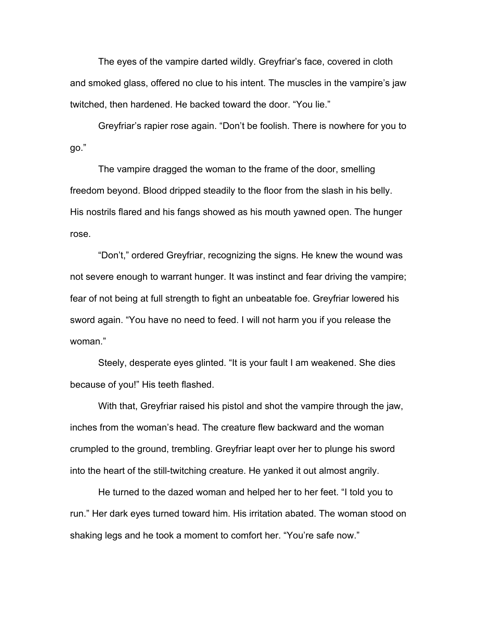The eyes of the vampire darted wildly. Greyfriar's face, covered in cloth and smoked glass, offered no clue to his intent. The muscles in the vampire's jaw twitched, then hardened. He backed toward the door. "You lie."

Greyfriar's rapier rose again. "Don't be foolish. There is nowhere for you to go."

The vampire dragged the woman to the frame of the door, smelling freedom beyond. Blood dripped steadily to the floor from the slash in his belly. His nostrils flared and his fangs showed as his mouth yawned open. The hunger rose.

"Don't," ordered Greyfriar, recognizing the signs. He knew the wound was not severe enough to warrant hunger. It was instinct and fear driving the vampire; fear of not being at full strength to fight an unbeatable foe. Greyfriar lowered his sword again. "You have no need to feed. I will not harm you if you release the woman."

Steely, desperate eyes glinted. "It is your fault I am weakened. She dies because of you!" His teeth flashed.

With that, Greyfriar raised his pistol and shot the vampire through the jaw, inches from the woman's head. The creature flew backward and the woman crumpled to the ground, trembling. Greyfriar leapt over her to plunge his sword into the heart of the still-twitching creature. He yanked it out almost angrily.

He turned to the dazed woman and helped her to her feet. "I told you to run." Her dark eyes turned toward him. His irritation abated. The woman stood on shaking legs and he took a moment to comfort her. "You're safe now."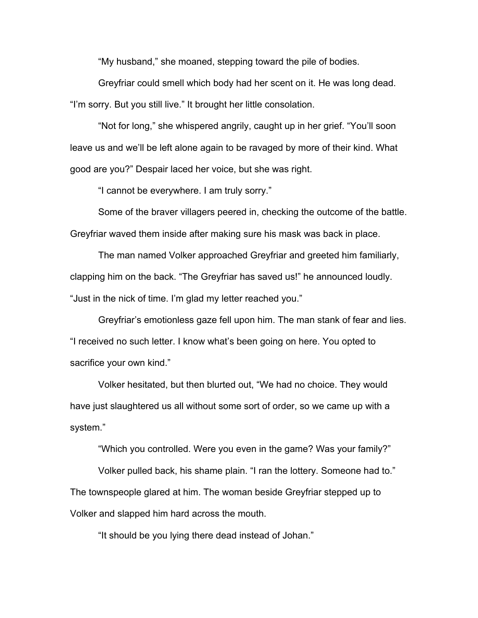"My husband," she moaned, stepping toward the pile of bodies.

Greyfriar could smell which body had her scent on it. He was long dead. "I'm sorry. But you still live." It brought her little consolation.

"Not for long," she whispered angrily, caught up in her grief. "You'll soon leave us and we'll be left alone again to be ravaged by more of their kind. What good are you?" Despair laced her voice, but she was right.

"I cannot be everywhere. I am truly sorry."

Some of the braver villagers peered in, checking the outcome of the battle. Greyfriar waved them inside after making sure his mask was back in place.

The man named Volker approached Greyfriar and greeted him familiarly, clapping him on the back. "The Greyfriar has saved us!" he announced loudly. "Just in the nick of time. I'm glad my letter reached you."

Greyfriar's emotionless gaze fell upon him. The man stank of fear and lies. "I received no such letter. I know what's been going on here. You opted to sacrifice your own kind."

Volker hesitated, but then blurted out, "We had no choice. They would have just slaughtered us all without some sort of order, so we came up with a system."

"Which you controlled. Were you even in the game? Was your family?"

Volker pulled back, his shame plain. "I ran the lottery. Someone had to." The townspeople glared at him. The woman beside Greyfriar stepped up to Volker and slapped him hard across the mouth.

"It should be you lying there dead instead of Johan."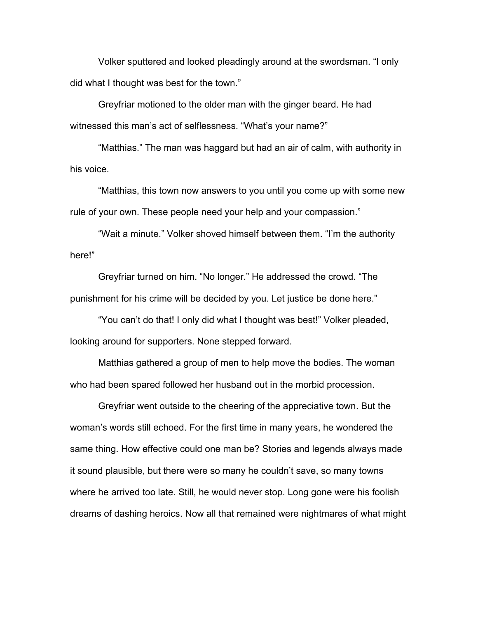Volker sputtered and looked pleadingly around at the swordsman. "I only did what I thought was best for the town."

Greyfriar motioned to the older man with the ginger beard. He had witnessed this man's act of selflessness. "What's your name?"

"Matthias." The man was haggard but had an air of calm, with authority in his voice.

"Matthias, this town now answers to you until you come up with some new rule of your own. These people need your help and your compassion."

"Wait a minute." Volker shoved himself between them. "I'm the authority here!"

Greyfriar turned on him. "No longer." He addressed the crowd. "The punishment for his crime will be decided by you. Let justice be done here."

"You can't do that! I only did what I thought was best!" Volker pleaded, looking around for supporters. None stepped forward.

Matthias gathered a group of men to help move the bodies. The woman who had been spared followed her husband out in the morbid procession.

Greyfriar went outside to the cheering of the appreciative town. But the woman's words still echoed. For the first time in many years, he wondered the same thing. How effective could one man be? Stories and legends always made it sound plausible, but there were so many he couldn't save, so many towns where he arrived too late. Still, he would never stop. Long gone were his foolish dreams of dashing heroics. Now all that remained were nightmares of what might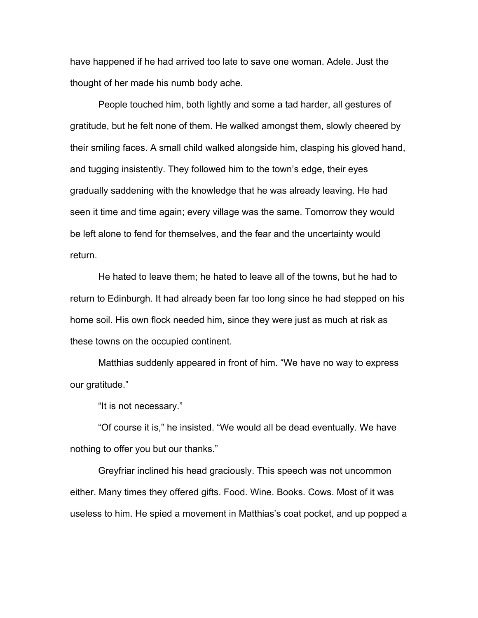have happened if he had arrived too late to save one woman. Adele. Just the thought of her made his numb body ache.

People touched him, both lightly and some a tad harder, all gestures of gratitude, but he felt none of them. He walked amongst them, slowly cheered by their smiling faces. A small child walked alongside him, clasping his gloved hand, and tugging insistently. They followed him to the town's edge, their eyes gradually saddening with the knowledge that he was already leaving. He had seen it time and time again; every village was the same. Tomorrow they would be left alone to fend for themselves, and the fear and the uncertainty would return.

He hated to leave them; he hated to leave all of the towns, but he had to return to Edinburgh. It had already been far too long since he had stepped on his home soil. His own flock needed him, since they were just as much at risk as these towns on the occupied continent.

Matthias suddenly appeared in front of him. "We have no way to express our gratitude."

"It is not necessary."

"Of course it is," he insisted. "We would all be dead eventually. We have nothing to offer you but our thanks."

Greyfriar inclined his head graciously. This speech was not uncommon either. Many times they offered gifts. Food. Wine. Books. Cows. Most of it was useless to him. He spied a movement in Matthias's coat pocket, and up popped a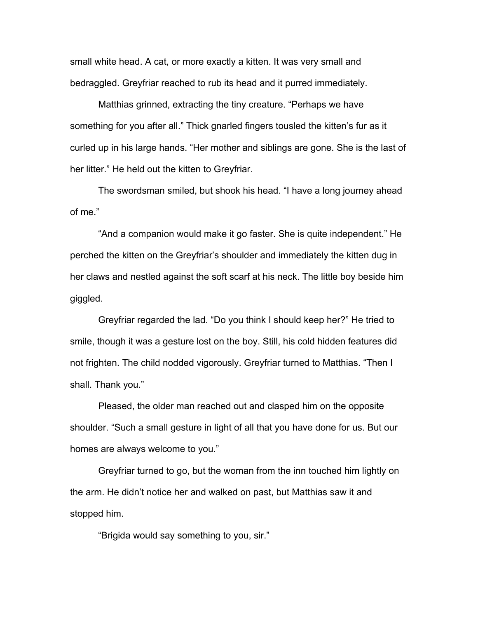small white head. A cat, or more exactly a kitten. It was very small and bedraggled. Greyfriar reached to rub its head and it purred immediately.

Matthias grinned, extracting the tiny creature. "Perhaps we have something for you after all." Thick gnarled fingers tousled the kitten's fur as it curled up in his large hands. "Her mother and siblings are gone. She is the last of her litter." He held out the kitten to Greyfriar.

The swordsman smiled, but shook his head. "I have a long journey ahead of me."

"And a companion would make it go faster. She is quite independent." He perched the kitten on the Greyfriar's shoulder and immediately the kitten dug in her claws and nestled against the soft scarf at his neck. The little boy beside him giggled.

Greyfriar regarded the lad. "Do you think I should keep her?" He tried to smile, though it was a gesture lost on the boy. Still, his cold hidden features did not frighten. The child nodded vigorously. Greyfriar turned to Matthias. "Then I shall. Thank you."

Pleased, the older man reached out and clasped him on the opposite shoulder. "Such a small gesture in light of all that you have done for us. But our homes are always welcome to you."

Greyfriar turned to go, but the woman from the inn touched him lightly on the arm. He didn't notice her and walked on past, but Matthias saw it and stopped him.

"Brigida would say something to you, sir."